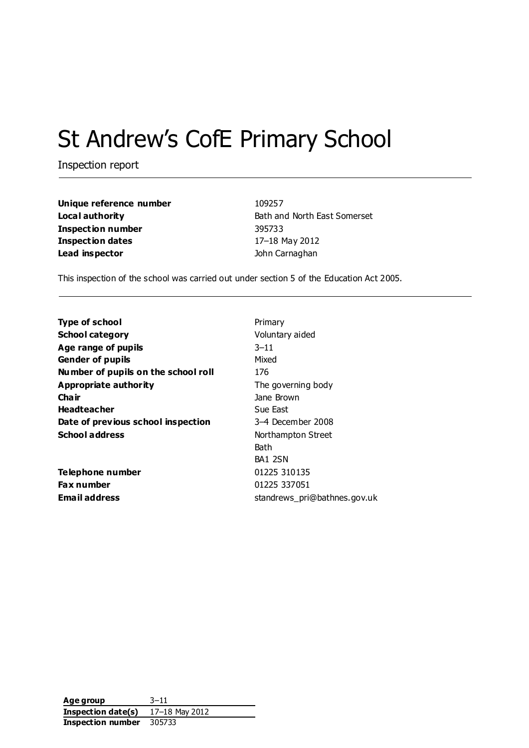# St Andrew's CofE Primary School

Inspection report

| Unique reference number | 109257                       |
|-------------------------|------------------------------|
| Local authority         | Bath and North East Somerset |
| Inspection number       | 395733                       |
| Inspection dates        | 17-18 May 2012               |
| Lead inspector          | John Carnaghan               |

This inspection of the school was carried out under section 5 of the Education Act 2005.

| <b>Type of school</b>               | Primary                      |
|-------------------------------------|------------------------------|
| <b>School category</b>              | Voluntary aided              |
| Age range of pupils                 | $3 - 11$                     |
| <b>Gender of pupils</b>             | Mixed                        |
| Number of pupils on the school roll | 176                          |
| Appropriate authority               | The governing body           |
| Cha ir                              | Jane Brown                   |
| <b>Headteacher</b>                  | Sue East                     |
| Date of previous school inspection  | 3–4 December 2008            |
| <b>School address</b>               | Northampton Street           |
|                                     | Bath                         |
|                                     | BA1 2SN                      |
| Telephone number                    | 01225 310135                 |
| <b>Fax number</b>                   | 01225 337051                 |
| Email address                       | standrews pri@bathnes.gov.uk |

**Age group** 3–11 **Inspection date(s)** 17–18 May 2012 **Inspection number** 305733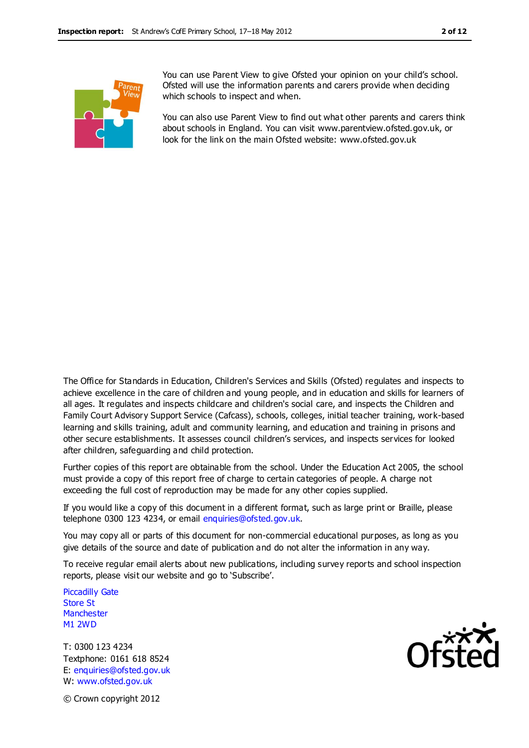

You can use Parent View to give Ofsted your opinion on your child's school. Ofsted will use the information parents and carers provide when deciding which schools to inspect and when.

You can also use Parent View to find out what other parents and carers think about schools in England. You can visit www.parentview.ofsted.gov.uk, or look for the link on the main Ofsted website: www.ofsted.gov.uk

The Office for Standards in Education, Children's Services and Skills (Ofsted) regulates and inspects to achieve excellence in the care of children and young people, and in education and skills for learners of all ages. It regulates and inspects childcare and children's social care, and inspects the Children and Family Court Advisory Support Service (Cafcass), schools, colleges, initial teacher training, work-based learning and skills training, adult and community learning, and education and training in prisons and other secure establishments. It assesses council children's services, and inspects services for looked after children, safeguarding and child protection.

Further copies of this report are obtainable from the school. Under the Education Act 2005, the school must provide a copy of this report free of charge to certain categories of people. A charge not exceeding the full cost of reproduction may be made for any other copies supplied.

If you would like a copy of this document in a different format, such as large print or Braille, please telephone 0300 123 4234, or email enquiries@ofsted.gov.uk.

You may copy all or parts of this document for non-commercial educational purposes, as long as you give details of the source and date of publication and do not alter the information in any way.

To receive regular email alerts about new publications, including survey reports and school inspection reports, please visit our website and go to 'Subscribe'.

Piccadilly Gate Store St **Manchester** M1 2WD

T: 0300 123 4234 Textphone: 0161 618 8524 E: enquiries@ofsted.gov.uk W: www.ofsted.gov.uk



© Crown copyright 2012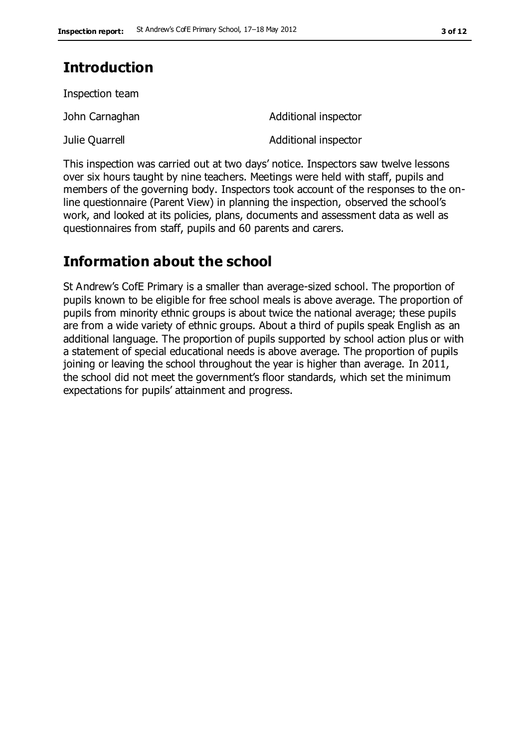# **Introduction**

Inspection team

John Carnaghan **Additional** inspector

Julie Quarrell **Additional inspector** 

This inspection was carried out at two days' notice. Inspectors saw twelve lessons over six hours taught by nine teachers. Meetings were held with staff, pupils and members of the governing body. Inspectors took account of the responses to the online questionnaire (Parent View) in planning the inspection, observed the school's work, and looked at its policies, plans, documents and assessment data as well as questionnaires from staff, pupils and 60 parents and carers.

# **Information about the school**

St Andrew's CofE Primary is a smaller than average-sized school. The proportion of pupils known to be eligible for free school meals is above average. The proportion of pupils from minority ethnic groups is about twice the national average; these pupils are from a wide variety of ethnic groups. About a third of pupils speak English as an additional language. The proportion of pupils supported by school action plus or with a statement of special educational needs is above average. The proportion of pupils joining or leaving the school throughout the year is higher than average. In 2011, the school did not meet the government's floor standards, which set the minimum expectations for pupils' attainment and progress.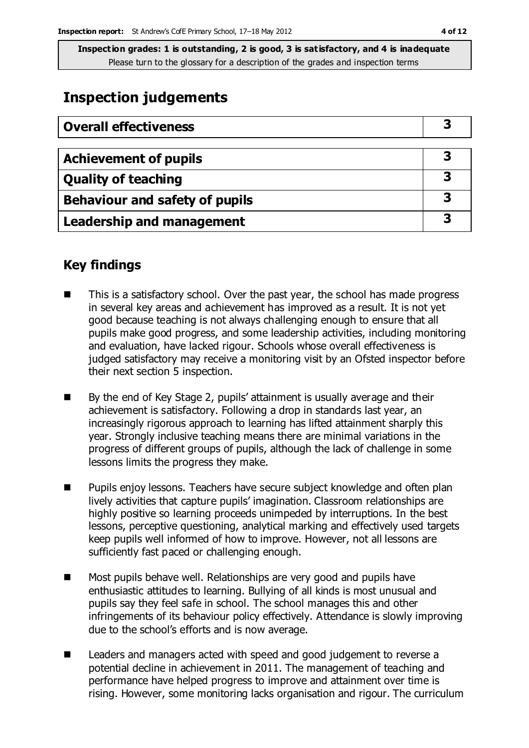# **Inspection judgements**

| <b>Overall effectiveness</b>          |   |
|---------------------------------------|---|
| <b>Achievement of pupils</b>          | З |
| <b>Quality of teaching</b>            | 3 |
| <b>Behaviour and safety of pupils</b> | 3 |
| <b>Leadership and management</b>      | 3 |

# **Key findings**

- This is a satisfactory school. Over the past year, the school has made progress in several key areas and achievement has improved as a result. It is not yet good because teaching is not always challenging enough to ensure that all pupils make good progress, and some leadership activities, including monitoring and evaluation, have lacked rigour. Schools whose overall effectiveness is judged satisfactory may receive a monitoring visit by an Ofsted inspector before their next section 5 inspection.
- By the end of Key Stage 2, pupils' attainment is usually average and their achievement is satisfactory. Following a drop in standards last year, an increasingly rigorous approach to learning has lifted attainment sharply this year. Strongly inclusive teaching means there are minimal variations in the progress of different groups of pupils, although the lack of challenge in some lessons limits the progress they make.
- Pupils enjoy lessons. Teachers have secure subject knowledge and often plan lively activities that capture pupils' imagination. Classroom relationships are highly positive so learning proceeds unimpeded by interruptions. In the best lessons, perceptive questioning, analytical marking and effectively used targets keep pupils well informed of how to improve. However, not all lessons are sufficiently fast paced or challenging enough.
- **Most pupils behave well. Relationships are very good and pupils have** enthusiastic attitudes to learning. Bullying of all kinds is most unusual and pupils say they feel safe in school. The school manages this and other infringements of its behaviour policy effectively. Attendance is slowly improving due to the school's efforts and is now average.
- Leaders and managers acted with speed and good judgement to reverse a potential decline in achievement in 2011. The management of teaching and performance have helped progress to improve and attainment over time is rising. However, some monitoring lacks organisation and rigour. The curriculum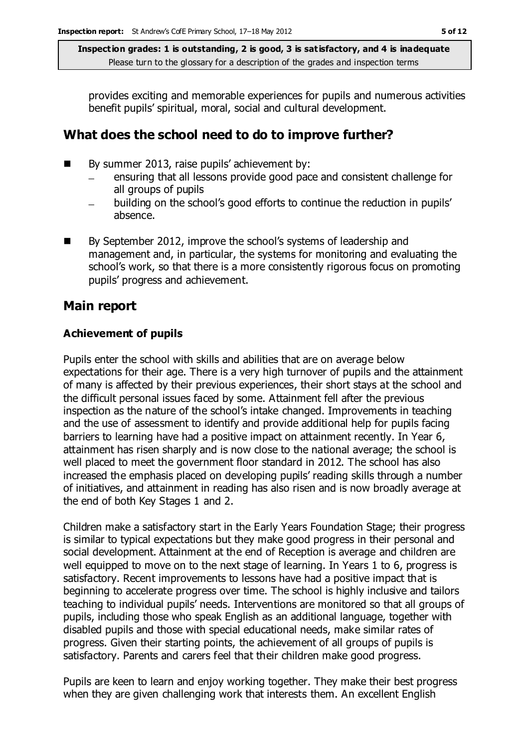provides exciting and memorable experiences for pupils and numerous activities benefit pupils' spiritual, moral, social and cultural development.

# **What does the school need to do to improve further?**

- By summer 2013, raise pupils' achievement by:
	- ensuring that all lessons provide good pace and consistent challenge for all groups of pupils
	- building on the school's good efforts to continue the reduction in pupils' absence.
- By September 2012, improve the school's systems of leadership and management and, in particular, the systems for monitoring and evaluating the school's work, so that there is a more consistently rigorous focus on promoting pupils' progress and achievement.

# **Main report**

### **Achievement of pupils**

Pupils enter the school with skills and abilities that are on average below expectations for their age. There is a very high turnover of pupils and the attainment of many is affected by their previous experiences, their short stays at the school and the difficult personal issues faced by some. Attainment fell after the previous inspection as the nature of the school's intake changed. Improvements in teaching and the use of assessment to identify and provide additional help for pupils facing barriers to learning have had a positive impact on attainment recently. In Year 6, attainment has risen sharply and is now close to the national average; the school is well placed to meet the government floor standard in 2012. The school has also increased the emphasis placed on developing pupils' reading skills through a number of initiatives, and attainment in reading has also risen and is now broadly average at the end of both Key Stages 1 and 2.

Children make a satisfactory start in the Early Years Foundation Stage; their progress is similar to typical expectations but they make good progress in their personal and social development. Attainment at the end of Reception is average and children are well equipped to move on to the next stage of learning. In Years 1 to 6, progress is satisfactory. Recent improvements to lessons have had a positive impact that is beginning to accelerate progress over time. The school is highly inclusive and tailors teaching to individual pupils' needs. Interventions are monitored so that all groups of pupils, including those who speak English as an additional language, together with disabled pupils and those with special educational needs, make similar rates of progress. Given their starting points, the achievement of all groups of pupils is satisfactory. Parents and carers feel that their children make good progress.

Pupils are keen to learn and enjoy working together. They make their best progress when they are given challenging work that interests them. An excellent English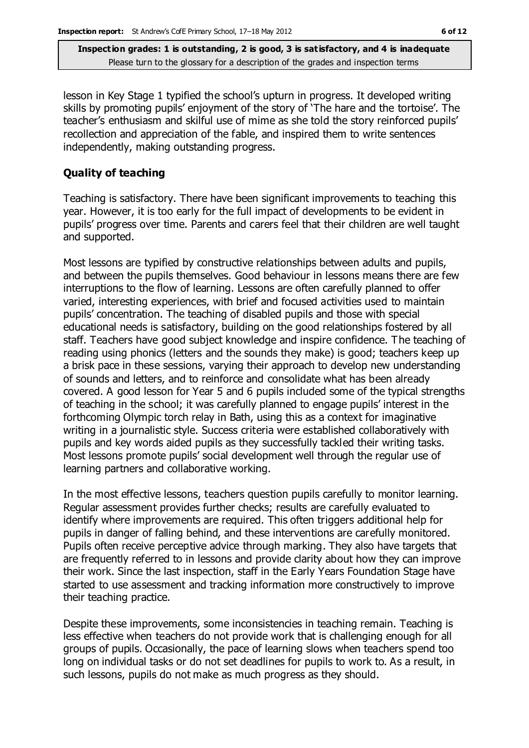lesson in Key Stage 1 typified the school's upturn in progress. It developed writing skills by promoting pupils' enjoyment of the story of 'The hare and the tortoise'. The teacher's enthusiasm and skilful use of mime as she told the story reinforced pupils' recollection and appreciation of the fable, and inspired them to write sentences independently, making outstanding progress.

#### **Quality of teaching**

Teaching is satisfactory. There have been significant improvements to teaching this year. However, it is too early for the full impact of developments to be evident in pupils' progress over time. Parents and carers feel that their children are well taught and supported.

Most lessons are typified by constructive relationships between adults and pupils, and between the pupils themselves. Good behaviour in lessons means there are few interruptions to the flow of learning. Lessons are often carefully planned to offer varied, interesting experiences, with brief and focused activities used to maintain pupils' concentration. The teaching of disabled pupils and those with special educational needs is satisfactory, building on the good relationships fostered by all staff. Teachers have good subject knowledge and inspire confidence. The teaching of reading using phonics (letters and the sounds they make) is good; teachers keep up a brisk pace in these sessions, varying their approach to develop new understanding of sounds and letters, and to reinforce and consolidate what has been already covered. A good lesson for Year 5 and 6 pupils included some of the typical strengths of teaching in the school; it was carefully planned to engage pupils' interest in the forthcoming Olympic torch relay in Bath, using this as a context for imaginative writing in a journalistic style. Success criteria were established collaboratively with pupils and key words aided pupils as they successfully tackled their writing tasks. Most lessons promote pupils' social development well through the regular use of learning partners and collaborative working.

In the most effective lessons, teachers question pupils carefully to monitor learning. Regular assessment provides further checks; results are carefully evaluated to identify where improvements are required. This often triggers additional help for pupils in danger of falling behind, and these interventions are carefully monitored. Pupils often receive perceptive advice through marking. They also have targets that are frequently referred to in lessons and provide clarity about how they can improve their work. Since the last inspection, staff in the Early Years Foundation Stage have started to use assessment and tracking information more constructively to improve their teaching practice.

Despite these improvements, some inconsistencies in teaching remain. Teaching is less effective when teachers do not provide work that is challenging enough for all groups of pupils. Occasionally, the pace of learning slows when teachers spend too long on individual tasks or do not set deadlines for pupils to work to. As a result, in such lessons, pupils do not make as much progress as they should.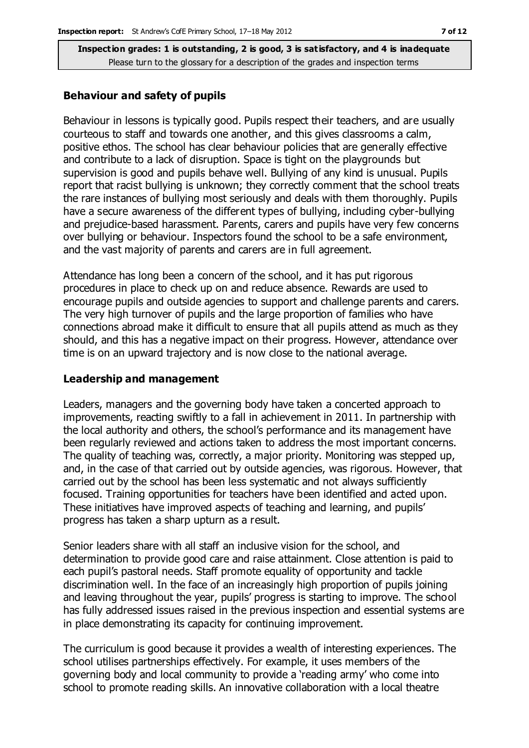#### **Behaviour and safety of pupils**

Behaviour in lessons is typically good. Pupils respect their teachers, and are usually courteous to staff and towards one another, and this gives classrooms a calm, positive ethos. The school has clear behaviour policies that are generally effective and contribute to a lack of disruption. Space is tight on the playgrounds but supervision is good and pupils behave well. Bullying of any kind is unusual. Pupils report that racist bullying is unknown; they correctly comment that the school treats the rare instances of bullying most seriously and deals with them thoroughly. Pupils have a secure awareness of the different types of bullying, including cyber-bullying and prejudice-based harassment. Parents, carers and pupils have very few concerns over bullying or behaviour. Inspectors found the school to be a safe environment, and the vast majority of parents and carers are in full agreement.

Attendance has long been a concern of the school, and it has put rigorous procedures in place to check up on and reduce absence. Rewards are used to encourage pupils and outside agencies to support and challenge parents and carers. The very high turnover of pupils and the large proportion of families who have connections abroad make it difficult to ensure that all pupils attend as much as they should, and this has a negative impact on their progress. However, attendance over time is on an upward trajectory and is now close to the national average.

#### **Leadership and management**

Leaders, managers and the governing body have taken a concerted approach to improvements, reacting swiftly to a fall in achievement in 2011. In partnership with the local authority and others, the school's performance and its management have been regularly reviewed and actions taken to address the most important concerns. The quality of teaching was, correctly, a major priority. Monitoring was stepped up, and, in the case of that carried out by outside agencies, was rigorous. However, that carried out by the school has been less systematic and not always sufficiently focused. Training opportunities for teachers have been identified and acted upon. These initiatives have improved aspects of teaching and learning, and pupils' progress has taken a sharp upturn as a result.

Senior leaders share with all staff an inclusive vision for the school, and determination to provide good care and raise attainment. Close attention is paid to each pupil's pastoral needs. Staff promote equality of opportunity and tackle discrimination well. In the face of an increasingly high proportion of pupils joining and leaving throughout the year, pupils' progress is starting to improve. The school has fully addressed issues raised in the previous inspection and essential systems are in place demonstrating its capacity for continuing improvement.

The curriculum is good because it provides a wealth of interesting experiences. The school utilises partnerships effectively. For example, it uses members of the governing body and local community to provide a 'reading army' who come into school to promote reading skills. An innovative collaboration with a local theatre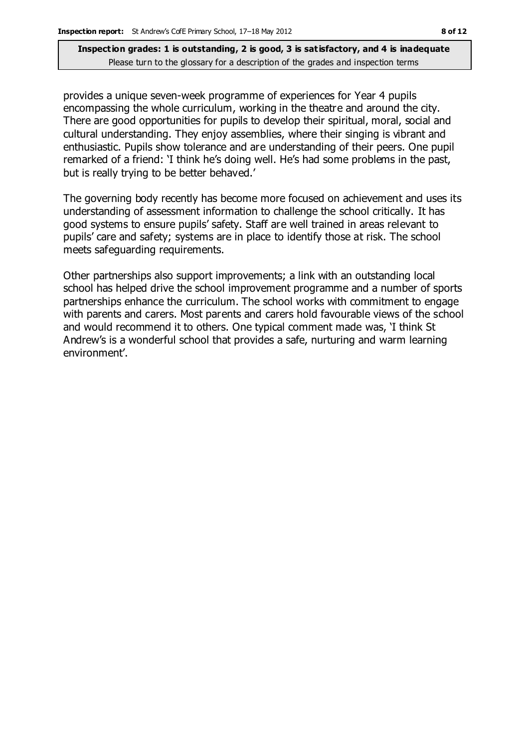provides a unique seven-week programme of experiences for Year 4 pupils encompassing the whole curriculum, working in the theatre and around the city. There are good opportunities for pupils to develop their spiritual, moral, social and cultural understanding. They enjoy assemblies, where their singing is vibrant and enthusiastic. Pupils show tolerance and are understanding of their peers. One pupil remarked of a friend: 'I think he's doing well. He's had some problems in the past, but is really trying to be better behaved.'

The governing body recently has become more focused on achievement and uses its understanding of assessment information to challenge the school critically. It has good systems to ensure pupils' safety. Staff are well trained in areas relevant to pupils' care and safety; systems are in place to identify those at risk. The school meets safeguarding requirements.

Other partnerships also support improvements; a link with an outstanding local school has helped drive the school improvement programme and a number of sports partnerships enhance the curriculum. The school works with commitment to engage with parents and carers. Most parents and carers hold favourable views of the school and would recommend it to others. One typical comment made was, 'I think St Andrew's is a wonderful school that provides a safe, nurturing and warm learning environment'.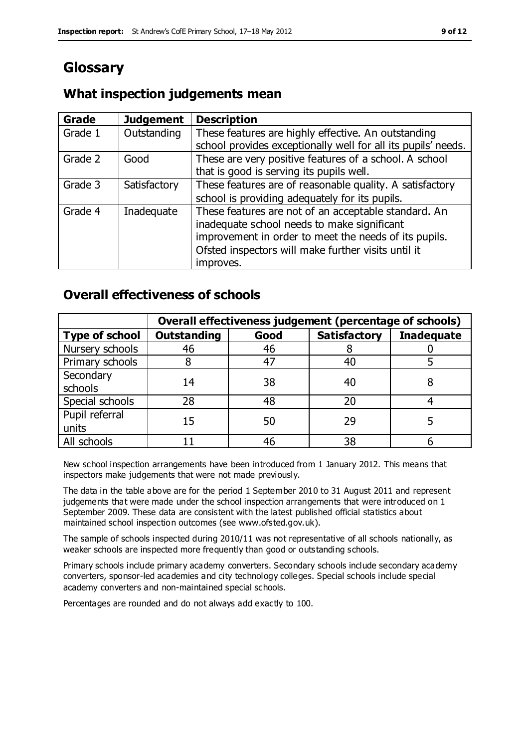# **Glossary**

# **What inspection judgements mean**

| Grade   | <b>Judgement</b> | <b>Description</b>                                                                                                                                                                                                               |
|---------|------------------|----------------------------------------------------------------------------------------------------------------------------------------------------------------------------------------------------------------------------------|
| Grade 1 | Outstanding      | These features are highly effective. An outstanding<br>school provides exceptionally well for all its pupils' needs.                                                                                                             |
| Grade 2 | Good             | These are very positive features of a school. A school<br>that is good is serving its pupils well.                                                                                                                               |
| Grade 3 | Satisfactory     | These features are of reasonable quality. A satisfactory<br>school is providing adequately for its pupils.                                                                                                                       |
| Grade 4 | Inadequate       | These features are not of an acceptable standard. An<br>inadequate school needs to make significant<br>improvement in order to meet the needs of its pupils.<br>Ofsted inspectors will make further visits until it<br>improves. |

# **Overall effectiveness of schools**

|                         | Overall effectiveness judgement (percentage of schools) |      |                     |                   |
|-------------------------|---------------------------------------------------------|------|---------------------|-------------------|
| <b>Type of school</b>   | <b>Outstanding</b>                                      | Good | <b>Satisfactory</b> | <b>Inadequate</b> |
| Nursery schools         | 46                                                      | 46   |                     |                   |
| Primary schools         |                                                         | 47   | 40                  |                   |
| Secondary<br>schools    | 14                                                      | 38   | 40                  |                   |
| Special schools         | 28                                                      | 48   | 20                  |                   |
| Pupil referral<br>units | 15                                                      | 50   | 29                  |                   |
| All schools             |                                                         | 46   | 38                  |                   |

New school inspection arrangements have been introduced from 1 January 2012. This means that inspectors make judgements that were not made previously.

The data in the table above are for the period 1 September 2010 to 31 August 2011 and represent judgements that were made under the school inspection arrangements that were introduced on 1 September 2009. These data are consistent with the latest published official statistics about maintained school inspection outcomes (see www.ofsted.gov.uk).

The sample of schools inspected during 2010/11 was not representative of all schools nationally, as weaker schools are inspected more frequently than good or outstanding schools.

Primary schools include primary academy converters. Secondary schools include secondary academy converters, sponsor-led academies and city technology colleges. Special schools include special academy converters and non-maintained special schools.

Percentages are rounded and do not always add exactly to 100.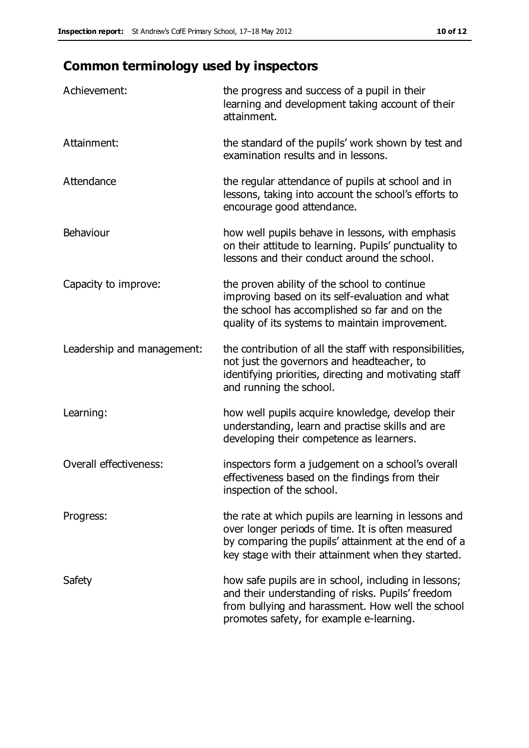# **Common terminology used by inspectors**

| Achievement:                  | the progress and success of a pupil in their<br>learning and development taking account of their<br>attainment.                                                                                                        |
|-------------------------------|------------------------------------------------------------------------------------------------------------------------------------------------------------------------------------------------------------------------|
| Attainment:                   | the standard of the pupils' work shown by test and<br>examination results and in lessons.                                                                                                                              |
| Attendance                    | the regular attendance of pupils at school and in<br>lessons, taking into account the school's efforts to<br>encourage good attendance.                                                                                |
| Behaviour                     | how well pupils behave in lessons, with emphasis<br>on their attitude to learning. Pupils' punctuality to<br>lessons and their conduct around the school.                                                              |
| Capacity to improve:          | the proven ability of the school to continue<br>improving based on its self-evaluation and what<br>the school has accomplished so far and on the<br>quality of its systems to maintain improvement.                    |
| Leadership and management:    | the contribution of all the staff with responsibilities,<br>not just the governors and headteacher, to<br>identifying priorities, directing and motivating staff<br>and running the school.                            |
| Learning:                     | how well pupils acquire knowledge, develop their<br>understanding, learn and practise skills and are<br>developing their competence as learners.                                                                       |
| <b>Overall effectiveness:</b> | inspectors form a judgement on a school's overall<br>effectiveness based on the findings from their<br>inspection of the school.                                                                                       |
| Progress:                     | the rate at which pupils are learning in lessons and<br>over longer periods of time. It is often measured<br>by comparing the pupils' attainment at the end of a<br>key stage with their attainment when they started. |
| Safety                        | how safe pupils are in school, including in lessons;<br>and their understanding of risks. Pupils' freedom<br>from bullying and harassment. How well the school<br>promotes safety, for example e-learning.             |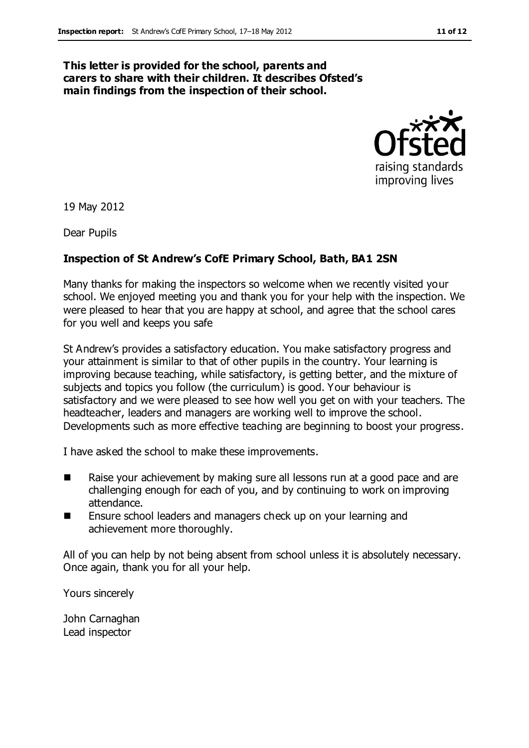#### **This letter is provided for the school, parents and carers to share with their children. It describes Ofsted's main findings from the inspection of their school.**



19 May 2012

Dear Pupils

### **Inspection of St Andrew's CofE Primary School, Bath, BA1 2SN**

Many thanks for making the inspectors so welcome when we recently visited your school. We enjoyed meeting you and thank you for your help with the inspection. We were pleased to hear that you are happy at school, and agree that the school cares for you well and keeps you safe

St Andrew's provides a satisfactory education. You make satisfactory progress and your attainment is similar to that of other pupils in the country. Your learning is improving because teaching, while satisfactory, is getting better, and the mixture of subjects and topics you follow (the curriculum) is good. Your behaviour is satisfactory and we were pleased to see how well you get on with your teachers. The headteacher, leaders and managers are working well to improve the school. Developments such as more effective teaching are beginning to boost your progress.

I have asked the school to make these improvements.

- Raise your achievement by making sure all lessons run at a good pace and are challenging enough for each of you, and by continuing to work on improving attendance.
- Ensure school leaders and managers check up on your learning and achievement more thoroughly.

All of you can help by not being absent from school unless it is absolutely necessary. Once again, thank you for all your help.

Yours sincerely

John Carnaghan Lead inspector